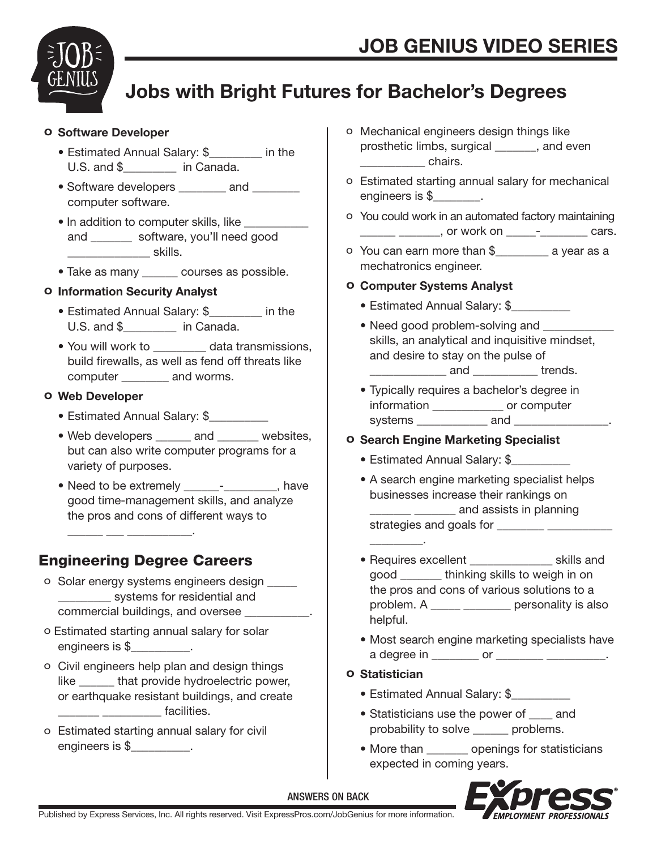

# Jobs with Bright Futures for Bachelor's Degrees

#### o Software Developer

- Estimated Annual Salary: \$\_\_\_\_\_\_\_\_\_ in the U.S. and \$ \_\_\_\_\_\_\_ in Canada.
- Software developers \_\_\_\_\_\_\_ and \_\_\_\_\_\_\_ computer software.
- In addition to computer skills, like and software, you'll need good \_\_\_\_\_\_\_\_\_\_\_\_\_\_ skills.
- Take as many courses as possible.

#### o Information Security Analyst

- Estimated Annual Salary: \$\_\_\_\_\_\_\_\_\_ in the U.S. and \$ in Canada.
- You will work to **data transmissions**, build firewalls, as well as fend off threats like computer \_\_\_\_\_\_\_\_ and worms.

#### o Web Developer

- Estimated Annual Salary: \$
- Web developers \_\_\_\_\_\_ and \_\_\_\_\_\_\_ websites, but can also write computer programs for a variety of purposes.
- Need to be extremely **Fig. 2** Fig. 2 have good time-management skills, and analyze the pros and cons of different ways to

# Engineering Degree Careers

 $\frac{1}{\sqrt{2}}$  ,  $\frac{1}{\sqrt{2}}$  ,  $\frac{1}{\sqrt{2}}$  ,  $\frac{1}{\sqrt{2}}$  ,  $\frac{1}{\sqrt{2}}$  ,  $\frac{1}{\sqrt{2}}$  ,  $\frac{1}{\sqrt{2}}$  ,  $\frac{1}{\sqrt{2}}$  ,  $\frac{1}{\sqrt{2}}$  ,  $\frac{1}{\sqrt{2}}$  ,  $\frac{1}{\sqrt{2}}$  ,  $\frac{1}{\sqrt{2}}$  ,  $\frac{1}{\sqrt{2}}$  ,  $\frac{1}{\sqrt{2}}$  ,  $\frac{1}{\sqrt{2}}$ 

- o Solar energy systems engineers design \_\_\_\_\_ systems for residential and commercial buildings, and oversee \_\_\_\_\_\_\_\_\_\_\_.
- o Estimated starting annual salary for solar engineers is \$\_\_\_\_\_\_\_\_\_\_.
- o Civil engineers help plan and design things like that provide hydroelectric power, or earthquake resistant buildings, and create dentities.
- o Estimated starting annual salary for civil engineers is \$
- o Mechanical engineers design things like prosthetic limbs, surgical \_\_\_\_\_\_\_, and even density chairs.
- o Estimated starting annual salary for mechanical engineers is \$
- o You could work in an automated factory maintaining \_\_\_\_\_\_\_\_\_\_\_\_\_\_\_\_\_\_, or work on \_\_\_\_\_\_-\_\_\_\_\_\_\_\_\_\_\_\_\_\_ cars.
- o You can earn more than \$\_\_\_\_\_\_\_\_\_ a year as a mechatronics engineer.

#### o Computer Systems Analyst

- Estimated Annual Salary: \$
- Need good problem-solving and skills, an analytical and inquisitive mindset, and desire to stay on the pulse of \_\_\_\_\_\_\_\_\_\_\_\_\_ and \_\_\_\_\_\_\_\_\_\_\_ trends.
- Typically requires a bachelor's degree in information \_\_\_\_\_\_\_\_\_\_\_\_ or computer systems and **and** .

#### o Search Engine Marketing Specialist

- Estimated Annual Salary: \$
- A search engine marketing specialist helps businesses increase their rankings on \_\_\_\_\_\_\_ \_\_\_\_\_\_\_ and assists in planning strategies and goals for \_\_\_\_\_\_\_\_ \_\_\_\_\_\_\_\_\_\_\_
- Requires excellent \_\_\_\_\_\_\_\_\_\_\_\_\_\_ skills and good \_\_\_\_\_\_\_ thinking skills to weigh in on the pros and cons of various solutions to a problem. A \_\_\_\_\_ \_\_\_\_\_\_\_\_ personality is also helpful.
- Most search engine marketing specialists have a degree in \_\_\_\_\_\_\_\_\_ or \_\_\_\_\_\_\_\_\_\_\_\_\_\_\_\_\_\_.
- o Statistician

 $\frac{1}{\sqrt{2}}$  ,  $\frac{1}{\sqrt{2}}$  ,  $\frac{1}{\sqrt{2}}$  ,  $\frac{1}{\sqrt{2}}$  ,  $\frac{1}{\sqrt{2}}$  ,  $\frac{1}{\sqrt{2}}$ 

- Estimated Annual Salary: \$\_\_\_\_\_\_\_\_\_\_
- Statisticians use the power of \_\_\_\_ and probability to solve \_\_\_\_\_\_ problems.
- More than \_\_\_\_\_\_\_ openings for statisticians expected in coming years.



ANSWERS ON BACK